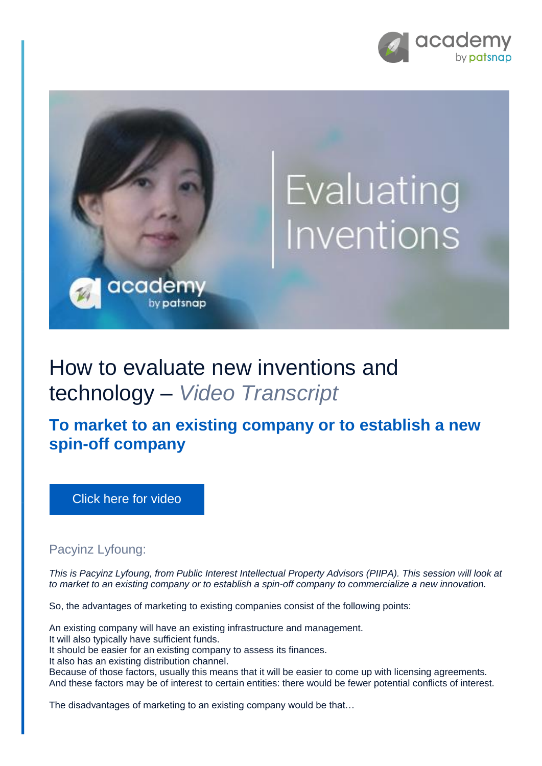



## How to evaluate new inventions and technology – *Video Transcript*

**To market to an existing company or to establish a new spin-off company**

[Click here for video](https://academy.patsnap.com/courses/5aa90c52a8103300142e12e2/units/5c7001dbc5b87f21d8a5ba3d#module-1)

## Pacyinz Lyfoung:

*This is Pacyinz Lyfoung, from Public Interest Intellectual Property Advisors (PIIPA). This session will look at to market to an existing company or to establish a spin-off company to commercialize a new innovation.*

So, the advantages of marketing to existing companies consist of the following points:

An existing company will have an existing infrastructure and management.

It will also typically have sufficient funds.

It should be easier for an existing company to assess its finances.

It also has an existing distribution channel.

Because of those factors, usually this means that it will be easier to come up with licensing agreements. And these factors may be of interest to certain entities: there would be fewer potential conflicts of interest.

The disadvantages of marketing to an existing company would be that…